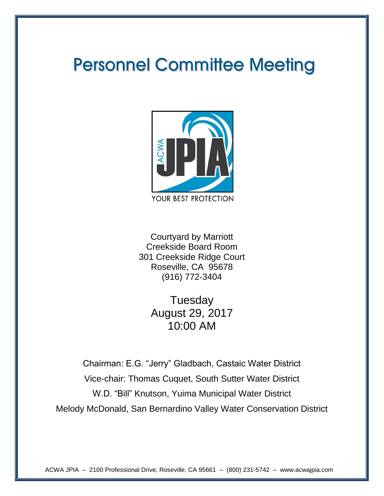# **Personnel Committee Meeting**



Courtyard by Marriott Creekside Board Room 301 Creekside Ridge Court Roseville, CA 95678 (916) 772-3404

> **Tuesday** August 29, 2017 10:00 AM

Chairman: E.G. "Jerry" Gladbach, Castaic Water District Vice-chair: Thomas Cuquet, South Sutter Water District W.D. "Bill" Knutson, Yuima Municipal Water District Melody McDonald, San Bernardino Valley Water Conservation District

ACWA JPIA – 2100 Professional Drive, Roseville, CA 95661 – (800) 231-5742 – www.acwajpia.com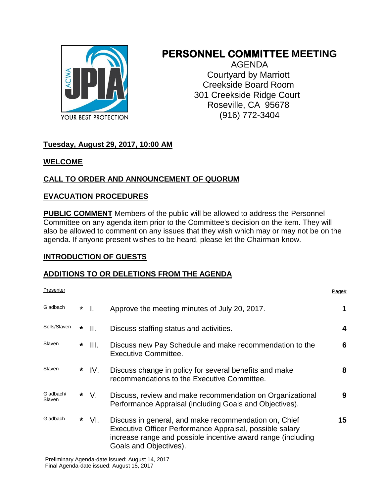

# **PERSONNEL COMMITTEE MEETING**

AGENDA Courtyard by Marriott Creekside Board Room 301 Creekside Ridge Court Roseville, CA 95678 (916) 772-3404

#### **Tuesday, August 29, 2017, 10:00 AM**

#### **WELCOME**

#### **CALL TO ORDER AND ANNOUNCEMENT OF QUORUM**

#### **EVACUATION PROCEDURES**

**PUBLIC COMMENT** Members of the public will be allowed to address the Personnel Committee on any agenda item prior to the Committee's decision on the item. They will also be allowed to comment on any issues that they wish which may or may not be on the agenda. If anyone present wishes to be heard, please let the Chairman know.

#### **INTRODUCTION OF GUESTS**

#### **ADDITIONS TO OR DELETIONS FROM THE AGENDA**

| Presenter           |         |      |                                                                                                                                                                                                             | Page# |
|---------------------|---------|------|-------------------------------------------------------------------------------------------------------------------------------------------------------------------------------------------------------------|-------|
| Gladbach            | $\star$ | Π.   | Approve the meeting minutes of July 20, 2017.                                                                                                                                                               | 1     |
| Sells/Slaven        | *       | Ⅱ.   | Discuss staffing status and activities.                                                                                                                                                                     | 4     |
| Slaven              | *       | III. | Discuss new Pay Schedule and make recommendation to the<br>Executive Committee.                                                                                                                             | 6     |
| Slaven              | *       | IV.  | Discuss change in policy for several benefits and make<br>recommendations to the Executive Committee.                                                                                                       | 8     |
| Gladbach/<br>Slaven | *       | V.   | Discuss, review and make recommendation on Organizational<br>Performance Appraisal (including Goals and Objectives).                                                                                        | 9     |
| Gladbach            | *       | VI.  | Discuss in general, and make recommendation on, Chief<br>Executive Officer Performance Appraisal, possible salary<br>increase range and possible incentive award range (including<br>Goals and Objectives). | 15    |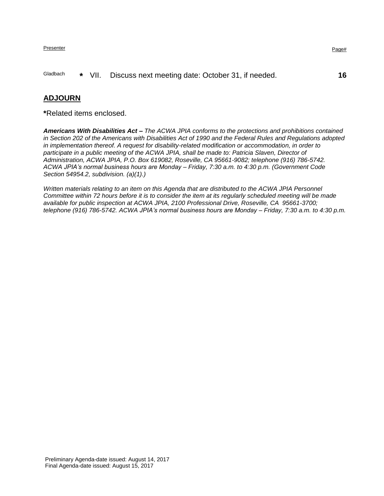#### Presenter Presenter Page and the Page and the Page and the Page and the Page and the Page and the Page and the Page and the Page and the Page and the Page and the Page and the Page and the Page and the Page and the Page an

#### Gladbach **\*** VII. Discuss next meeting date: October 31, if needed. **16**

#### **ADJOURN**

**\***Related items enclosed.

*Americans With Disabilities Act – The ACWA JPIA conforms to the protections and prohibitions contained in Section 202 of the Americans with Disabilities Act of 1990 and the Federal Rules and Regulations adopted in implementation thereof. A request for disability-related modification or accommodation, in order to*  participate in a public meeting of the ACWA JPIA, shall be made to: Patricia Slaven, Director of *Administration, ACWA JPIA, P.O. Box 619082, Roseville, CA 95661-9082; telephone (916) 786-5742. ACWA JPIA's normal business hours are Monday – Friday, 7:30 a.m. to 4:30 p.m. (Government Code Section 54954.2, subdivision. (a)(1).)*

*Written materials relating to an item on this Agenda that are distributed to the ACWA JPIA Personnel Committee within 72 hours before it is to consider the item at its regularly scheduled meeting will be made available for public inspection at ACWA JPIA, 2100 Professional Drive, Roseville, CA 95661-3700; telephone (916) 786-5742. ACWA JPIA's normal business hours are Monday – Friday, 7:30 a.m. to 4:30 p.m.*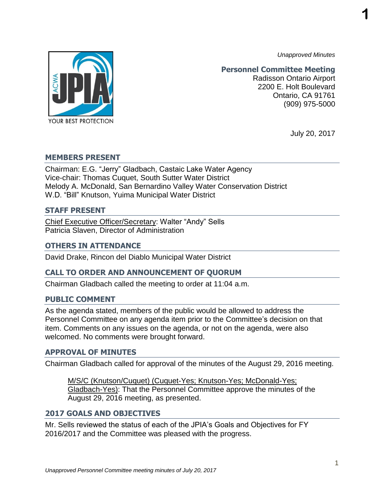*Unapproved Minutes*

**1**



**Personnel Committee Meeting**

Radisson Ontario Airport 2200 E. Holt Boulevard Ontario, CA 91761 (909) 975-5000

July 20, 2017

#### **MEMBERS PRESENT**

Chairman: E.G. "Jerry" Gladbach, Castaic Lake Water Agency Vice-chair: Thomas Cuquet, South Sutter Water District Melody A. McDonald, San Bernardino Valley Water Conservation District W.D. "Bill" Knutson, Yuima Municipal Water District

#### **STAFF PRESENT**

Chief Executive Officer/Secretary: Walter "Andy" Sells Patricia Slaven, Director of Administration

#### **OTHERS IN ATTENDANCE**

David Drake, Rincon del Diablo Municipal Water District

#### **CALL TO ORDER AND ANNOUNCEMENT OF QUORUM**

Chairman Gladbach called the meeting to order at 11:04 a.m.

#### **PUBLIC COMMENT**

As the agenda stated, members of the public would be allowed to address the Personnel Committee on any agenda item prior to the Committee's decision on that item. Comments on any issues on the agenda, or not on the agenda, were also welcomed. No comments were brought forward.

#### **APPROVAL OF MINUTES**

Chairman Gladbach called for approval of the minutes of the August 29, 2016 meeting.

M/S/C (Knutson/Cuquet) (Cuquet-Yes; Knutson-Yes; McDonald-Yes; Gladbach-Yes): That the Personnel Committee approve the minutes of the August 29, 2016 meeting, as presented.

#### **2017 GOALS AND OBJECTIVES**

Mr. Sells reviewed the status of each of the JPIA's Goals and Objectives for FY 2016/2017 and the Committee was pleased with the progress.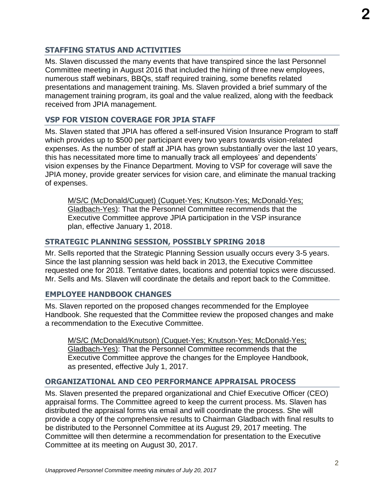### **STAFFING STATUS AND ACTIVITIES**

Ms. Slaven discussed the many events that have transpired since the last Personnel Committee meeting in August 2016 that included the hiring of three new employees, numerous staff webinars, BBQs, staff required training, some benefits related presentations and management training. Ms. Slaven provided a brief summary of the management training program, its goal and the value realized, along with the feedback received from JPIA management.

## **VSP FOR VISION COVERAGE FOR JPIA STAFF**

Ms. Slaven stated that JPIA has offered a self-insured Vision Insurance Program to staff which provides up to \$500 per participant every two years towards vision-related expenses. As the number of staff at JPIA has grown substantially over the last 10 years, this has necessitated more time to manually track all employees' and dependents' vision expenses by the Finance Department. Moving to VSP for coverage will save the JPIA money, provide greater services for vision care, and eliminate the manual tracking of expenses.

M/S/C (McDonald/Cuquet) (Cuquet-Yes; Knutson-Yes; McDonald-Yes; Gladbach-Yes): That the Personnel Committee recommends that the Executive Committee approve JPIA participation in the VSP insurance plan, effective January 1, 2018.

#### **STRATEGIC PLANNING SESSION, POSSIBLY SPRING 2018**

Mr. Sells reported that the Strategic Planning Session usually occurs every 3-5 years. Since the last planning session was held back in 2013, the Executive Committee requested one for 2018. Tentative dates, locations and potential topics were discussed. Mr. Sells and Ms. Slaven will coordinate the details and report back to the Committee.

#### **EMPLOYEE HANDBOOK CHANGES**

Ms. Slaven reported on the proposed changes recommended for the Employee Handbook. She requested that the Committee review the proposed changes and make a recommendation to the Executive Committee.

M/S/C (McDonald/Knutson) (Cuquet-Yes; Knutson-Yes; McDonald-Yes; Gladbach-Yes): That the Personnel Committee recommends that the Executive Committee approve the changes for the Employee Handbook, as presented, effective July 1, 2017.

#### **ORGANIZATIONAL AND CEO PERFORMANCE APPRAISAL PROCESS**

Ms. Slaven presented the prepared organizational and Chief Executive Officer (CEO) appraisal forms. The Committee agreed to keep the current process. Ms. Slaven has distributed the appraisal forms via email and will coordinate the process. She will provide a copy of the comprehensive results to Chairman Gladbach with final results to be distributed to the Personnel Committee at its August 29, 2017 meeting. The Committee will then determine a recommendation for presentation to the Executive Committee at its meeting on August 30, 2017.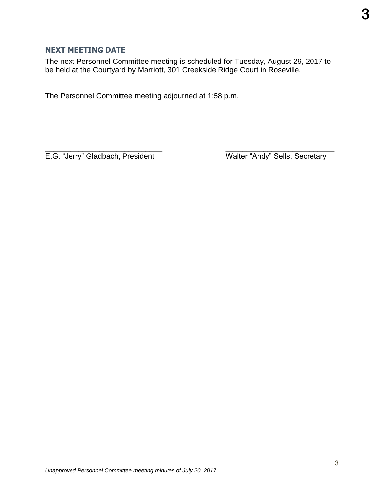#### **NEXT MEETING DATE**

The next Personnel Committee meeting is scheduled for Tuesday, August 29, 2017 to be held at the Courtyard by Marriott, 301 Creekside Ridge Court in Roseville.

The Personnel Committee meeting adjourned at 1:58 p.m.

 $\overline{\phantom{a}}$  , and the contract of the contract of the contract of the contract of the contract of the contract of the contract of the contract of the contract of the contract of the contract of the contract of the contrac E.G. "Jerry" Gladbach, President Walter "Andy" Sells, Secretary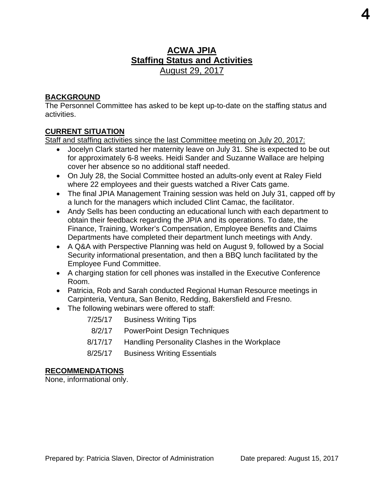# **ACWA JPIA Staffing Status and Activities**  August 29, 2017

#### **BACKGROUND**

The Personnel Committee has asked to be kept up-to-date on the staffing status and activities.

#### **CURRENT SITUATION**

Staff and staffing activities since the last Committee meeting on July 20, 2017:

- Jocelyn Clark started her maternity leave on July 31. She is expected to be out for approximately 6-8 weeks. Heidi Sander and Suzanne Wallace are helping cover her absence so no additional staff needed.
- On July 28, the Social Committee hosted an adults-only event at Raley Field where 22 employees and their guests watched a River Cats game.
- The final JPIA Management Training session was held on July 31, capped off by a lunch for the managers which included Clint Camac, the facilitator.
- Andy Sells has been conducting an educational lunch with each department to obtain their feedback regarding the JPIA and its operations. To date, the Finance, Training, Worker's Compensation, Employee Benefits and Claims Departments have completed their department lunch meetings with Andy.
- A Q&A with Perspective Planning was held on August 9, followed by a Social Security informational presentation, and then a BBQ lunch facilitated by the Employee Fund Committee.
- A charging station for cell phones was installed in the Executive Conference Room.
- Patricia, Rob and Sarah conducted Regional Human Resource meetings in Carpinteria, Ventura, San Benito, Redding, Bakersfield and Fresno.
- The following webinars were offered to staff:

| 7/25/17 | <b>Business Writing Tips</b>                  |
|---------|-----------------------------------------------|
| 8/2/17  | <b>PowerPoint Design Techniques</b>           |
| 8/17/17 | Handling Personality Clashes in the Workplace |
| 8/25/17 | <b>Business Writing Essentials</b>            |

#### **RECOMMENDATIONS**

None, informational only.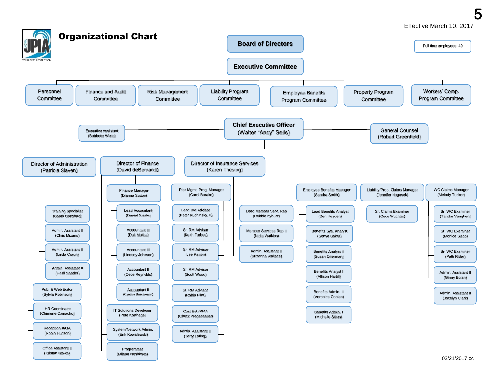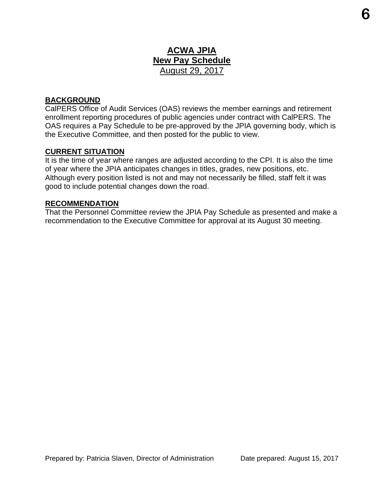# **ACWA JPIA New Pay Schedule**  August 29, 2017

#### **BACKGROUND**

CalPERS Office of Audit Services (OAS) reviews the member earnings and retirement enrollment reporting procedures of public agencies under contract with CalPERS. The OAS requires a Pay Schedule to be pre-approved by the JPIA governing body, which is the Executive Committee, and then posted for the public to view.

#### **CURRENT SITUATION**

It is the time of year where ranges are adjusted according to the CPI. It is also the time of year where the JPIA anticipates changes in titles, grades, new positions, etc. Although every position listed is not and may not necessarily be filled, staff felt it was good to include potential changes down the road.

#### **RECOMMENDATION**

That the Personnel Committee review the JPIA Pay Schedule as presented and make a recommendation to the Executive Committee for approval at its August 30 meeting.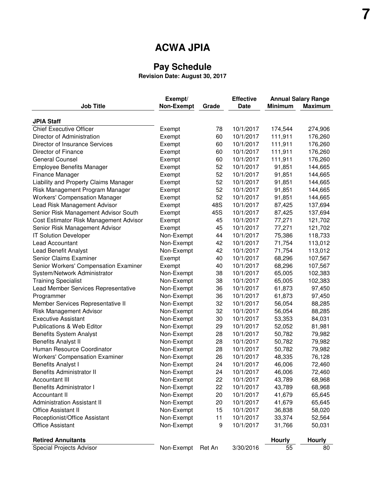# **ACWA JPIA**

#### **Pay Schedule**

**Revision Date: August 30, 2017**

| <b>JPIA Staff</b><br><b>Chief Executive Officer</b><br>78<br>10/1/2017<br>174,544<br>274,906<br>Exempt<br>111,911<br>Director of Administration<br>60<br>10/1/2017<br>176,260<br>Exempt<br>Director of Insurance Services<br>60<br>10/1/2017<br>111,911<br>176,260<br>Exempt<br>Director of Finance<br>60<br>10/1/2017<br>111,911<br>176,260<br>Exempt<br><b>General Counsel</b><br>176,260<br>60<br>10/1/2017<br>111,911<br>Exempt<br><b>Employee Benefits Manager</b><br>52<br>10/1/2017<br>91,851<br>144,665<br>Exempt<br>52<br>Finance Manager<br>10/1/2017<br>91,851<br>144,665<br>Exempt<br>52<br>91,851<br>Liability and Property Claims Manager<br>10/1/2017<br>144,665<br>Exempt<br>52<br>Risk Management Program Manager<br>10/1/2017<br>91,851<br>144,665<br>Exempt<br>52<br>91,851<br><b>Workers' Compensation Manager</b><br>10/1/2017<br>144,665<br>Exempt<br>48S<br>Lead Risk Management Advisor<br>10/1/2017<br>87,425<br>137,694<br>Exempt<br>Senior Risk Management Advisor South<br>45S<br>10/1/2017<br>87,425<br>137,694<br>Exempt<br>77,271<br>Cost Estimator Risk Management Advisor<br>45<br>10/1/2017<br>121,702<br>Exempt<br>77,271<br>Senior Risk Management Advisor<br>Exempt<br>45<br>10/1/2017<br>121,702<br>75,386<br>IT Solution Developer<br>Non-Exempt<br>44<br>10/1/2017<br>118,733<br>42<br>71,754<br>113,012<br>Lead Accountant<br>Non-Exempt<br>10/1/2017<br>42<br>71,754<br>Lead Benefit Analyst<br>Non-Exempt<br>10/1/2017<br>113,012<br>Senior Claims Examiner<br>40<br>10/1/2017<br>68,296<br>107,567<br>Exempt<br>Senior Workers' Compensation Examiner<br>40<br>10/1/2017<br>68,296<br>107,567<br>Exempt<br>38<br>65,005<br>System/Network Administrator<br>Non-Exempt<br>10/1/2017<br>102,383<br>38<br>65,005<br><b>Training Specialist</b><br>Non-Exempt<br>10/1/2017<br>102,383<br>Lead Member Services Representative<br>Non-Exempt<br>36<br>10/1/2017<br>61,873<br>97,450<br>Non-Exempt<br>61,873<br>97,450<br>36<br>10/1/2017<br>Programmer<br>Member Services Representative II<br>Non-Exempt<br>32<br>10/1/2017<br>56,054<br>88,285<br><b>Risk Management Advisor</b><br>Non-Exempt<br>32<br>10/1/2017<br>56,054<br>88,285<br>53,353<br><b>Executive Assistant</b><br>Non-Exempt<br>30<br>10/1/2017<br>84,031<br>Publications & Web Editor<br>81,981<br>Non-Exempt<br>29<br>10/1/2017<br>52,052<br><b>Benefits System Analyst</b><br>Non-Exempt<br>28<br>10/1/2017<br>50,782<br>79,982<br>79,982<br><b>Benefits Analyst II</b><br>Non-Exempt<br>28<br>10/1/2017<br>50,782<br>Human Resource Coordinator<br>Non-Exempt<br>28<br>10/1/2017<br>50,782<br>79,982<br><b>Workers' Compensation Examiner</b><br>Non-Exempt<br>26<br>10/1/2017<br>48,335<br>76,128<br><b>Benefits Analyst I</b><br>Non-Exempt<br>24<br>10/1/2017<br>46,006<br>72,460<br>24<br>10/1/2017<br>72,460<br><b>Benefits Administrator II</b><br>Non-Exempt<br>46,006<br>68,968<br><b>Accountant III</b><br>Non-Exempt<br>22<br>10/1/2017<br>43,789<br><b>Benefits Administrator I</b><br>Non-Exempt<br>22<br>10/1/2017<br>43,789<br>68,968<br>Non-Exempt<br>41,679<br>Accountant II<br>20<br>10/1/2017<br>65,645<br><b>Administration Assistant II</b><br>Non-Exempt<br>41,679<br>20<br>10/1/2017<br>65,645<br><b>Office Assistant II</b><br>Non-Exempt<br>15<br>10/1/2017<br>36,838<br>58,020<br>Non-Exempt<br>Receptionist/Office Assistant<br>11<br>10/1/2017<br>33,374<br>52,564<br>Non-Exempt<br><b>Office Assistant</b><br>9<br>10/1/2017<br>31,766<br>50,031<br><b>Retired Annuitants</b><br><b>Hourly</b><br><b>Hourly</b> |                          | Exempt/           |        | <b>Effective</b> | <b>Annual Salary Range</b> |                |  |
|--------------------------------------------------------------------------------------------------------------------------------------------------------------------------------------------------------------------------------------------------------------------------------------------------------------------------------------------------------------------------------------------------------------------------------------------------------------------------------------------------------------------------------------------------------------------------------------------------------------------------------------------------------------------------------------------------------------------------------------------------------------------------------------------------------------------------------------------------------------------------------------------------------------------------------------------------------------------------------------------------------------------------------------------------------------------------------------------------------------------------------------------------------------------------------------------------------------------------------------------------------------------------------------------------------------------------------------------------------------------------------------------------------------------------------------------------------------------------------------------------------------------------------------------------------------------------------------------------------------------------------------------------------------------------------------------------------------------------------------------------------------------------------------------------------------------------------------------------------------------------------------------------------------------------------------------------------------------------------------------------------------------------------------------------------------------------------------------------------------------------------------------------------------------------------------------------------------------------------------------------------------------------------------------------------------------------------------------------------------------------------------------------------------------------------------------------------------------------------------------------------------------------------------------------------------------------------------------------------------------------------------------------------------------------------------------------------------------------------------------------------------------------------------------------------------------------------------------------------------------------------------------------------------------------------------------------------------------------------------------------------------------------------------------------------------------------------------------------------------------------------------------------------------------------------------------------------------------------------------------------------------------------------------------------------------------------------------------------------------------------------------------------------------------------------------------------------------------------------------------------------------------------------------------------------|--------------------------|-------------------|--------|------------------|----------------------------|----------------|--|
|                                                                                                                                                                                                                                                                                                                                                                                                                                                                                                                                                                                                                                                                                                                                                                                                                                                                                                                                                                                                                                                                                                                                                                                                                                                                                                                                                                                                                                                                                                                                                                                                                                                                                                                                                                                                                                                                                                                                                                                                                                                                                                                                                                                                                                                                                                                                                                                                                                                                                                                                                                                                                                                                                                                                                                                                                                                                                                                                                                                                                                                                                                                                                                                                                                                                                                                                                                                                                                                                                                                                                        | <b>Job Title</b>         | <b>Non-Exempt</b> | Grade  | <b>Date</b>      | <b>Minimum</b>             | <b>Maximum</b> |  |
|                                                                                                                                                                                                                                                                                                                                                                                                                                                                                                                                                                                                                                                                                                                                                                                                                                                                                                                                                                                                                                                                                                                                                                                                                                                                                                                                                                                                                                                                                                                                                                                                                                                                                                                                                                                                                                                                                                                                                                                                                                                                                                                                                                                                                                                                                                                                                                                                                                                                                                                                                                                                                                                                                                                                                                                                                                                                                                                                                                                                                                                                                                                                                                                                                                                                                                                                                                                                                                                                                                                                                        |                          |                   |        |                  |                            |                |  |
|                                                                                                                                                                                                                                                                                                                                                                                                                                                                                                                                                                                                                                                                                                                                                                                                                                                                                                                                                                                                                                                                                                                                                                                                                                                                                                                                                                                                                                                                                                                                                                                                                                                                                                                                                                                                                                                                                                                                                                                                                                                                                                                                                                                                                                                                                                                                                                                                                                                                                                                                                                                                                                                                                                                                                                                                                                                                                                                                                                                                                                                                                                                                                                                                                                                                                                                                                                                                                                                                                                                                                        |                          |                   |        |                  |                            |                |  |
|                                                                                                                                                                                                                                                                                                                                                                                                                                                                                                                                                                                                                                                                                                                                                                                                                                                                                                                                                                                                                                                                                                                                                                                                                                                                                                                                                                                                                                                                                                                                                                                                                                                                                                                                                                                                                                                                                                                                                                                                                                                                                                                                                                                                                                                                                                                                                                                                                                                                                                                                                                                                                                                                                                                                                                                                                                                                                                                                                                                                                                                                                                                                                                                                                                                                                                                                                                                                                                                                                                                                                        |                          |                   |        |                  |                            |                |  |
|                                                                                                                                                                                                                                                                                                                                                                                                                                                                                                                                                                                                                                                                                                                                                                                                                                                                                                                                                                                                                                                                                                                                                                                                                                                                                                                                                                                                                                                                                                                                                                                                                                                                                                                                                                                                                                                                                                                                                                                                                                                                                                                                                                                                                                                                                                                                                                                                                                                                                                                                                                                                                                                                                                                                                                                                                                                                                                                                                                                                                                                                                                                                                                                                                                                                                                                                                                                                                                                                                                                                                        |                          |                   |        |                  |                            |                |  |
|                                                                                                                                                                                                                                                                                                                                                                                                                                                                                                                                                                                                                                                                                                                                                                                                                                                                                                                                                                                                                                                                                                                                                                                                                                                                                                                                                                                                                                                                                                                                                                                                                                                                                                                                                                                                                                                                                                                                                                                                                                                                                                                                                                                                                                                                                                                                                                                                                                                                                                                                                                                                                                                                                                                                                                                                                                                                                                                                                                                                                                                                                                                                                                                                                                                                                                                                                                                                                                                                                                                                                        |                          |                   |        |                  |                            |                |  |
|                                                                                                                                                                                                                                                                                                                                                                                                                                                                                                                                                                                                                                                                                                                                                                                                                                                                                                                                                                                                                                                                                                                                                                                                                                                                                                                                                                                                                                                                                                                                                                                                                                                                                                                                                                                                                                                                                                                                                                                                                                                                                                                                                                                                                                                                                                                                                                                                                                                                                                                                                                                                                                                                                                                                                                                                                                                                                                                                                                                                                                                                                                                                                                                                                                                                                                                                                                                                                                                                                                                                                        |                          |                   |        |                  |                            |                |  |
|                                                                                                                                                                                                                                                                                                                                                                                                                                                                                                                                                                                                                                                                                                                                                                                                                                                                                                                                                                                                                                                                                                                                                                                                                                                                                                                                                                                                                                                                                                                                                                                                                                                                                                                                                                                                                                                                                                                                                                                                                                                                                                                                                                                                                                                                                                                                                                                                                                                                                                                                                                                                                                                                                                                                                                                                                                                                                                                                                                                                                                                                                                                                                                                                                                                                                                                                                                                                                                                                                                                                                        |                          |                   |        |                  |                            |                |  |
|                                                                                                                                                                                                                                                                                                                                                                                                                                                                                                                                                                                                                                                                                                                                                                                                                                                                                                                                                                                                                                                                                                                                                                                                                                                                                                                                                                                                                                                                                                                                                                                                                                                                                                                                                                                                                                                                                                                                                                                                                                                                                                                                                                                                                                                                                                                                                                                                                                                                                                                                                                                                                                                                                                                                                                                                                                                                                                                                                                                                                                                                                                                                                                                                                                                                                                                                                                                                                                                                                                                                                        |                          |                   |        |                  |                            |                |  |
|                                                                                                                                                                                                                                                                                                                                                                                                                                                                                                                                                                                                                                                                                                                                                                                                                                                                                                                                                                                                                                                                                                                                                                                                                                                                                                                                                                                                                                                                                                                                                                                                                                                                                                                                                                                                                                                                                                                                                                                                                                                                                                                                                                                                                                                                                                                                                                                                                                                                                                                                                                                                                                                                                                                                                                                                                                                                                                                                                                                                                                                                                                                                                                                                                                                                                                                                                                                                                                                                                                                                                        |                          |                   |        |                  |                            |                |  |
|                                                                                                                                                                                                                                                                                                                                                                                                                                                                                                                                                                                                                                                                                                                                                                                                                                                                                                                                                                                                                                                                                                                                                                                                                                                                                                                                                                                                                                                                                                                                                                                                                                                                                                                                                                                                                                                                                                                                                                                                                                                                                                                                                                                                                                                                                                                                                                                                                                                                                                                                                                                                                                                                                                                                                                                                                                                                                                                                                                                                                                                                                                                                                                                                                                                                                                                                                                                                                                                                                                                                                        |                          |                   |        |                  |                            |                |  |
|                                                                                                                                                                                                                                                                                                                                                                                                                                                                                                                                                                                                                                                                                                                                                                                                                                                                                                                                                                                                                                                                                                                                                                                                                                                                                                                                                                                                                                                                                                                                                                                                                                                                                                                                                                                                                                                                                                                                                                                                                                                                                                                                                                                                                                                                                                                                                                                                                                                                                                                                                                                                                                                                                                                                                                                                                                                                                                                                                                                                                                                                                                                                                                                                                                                                                                                                                                                                                                                                                                                                                        |                          |                   |        |                  |                            |                |  |
|                                                                                                                                                                                                                                                                                                                                                                                                                                                                                                                                                                                                                                                                                                                                                                                                                                                                                                                                                                                                                                                                                                                                                                                                                                                                                                                                                                                                                                                                                                                                                                                                                                                                                                                                                                                                                                                                                                                                                                                                                                                                                                                                                                                                                                                                                                                                                                                                                                                                                                                                                                                                                                                                                                                                                                                                                                                                                                                                                                                                                                                                                                                                                                                                                                                                                                                                                                                                                                                                                                                                                        |                          |                   |        |                  |                            |                |  |
|                                                                                                                                                                                                                                                                                                                                                                                                                                                                                                                                                                                                                                                                                                                                                                                                                                                                                                                                                                                                                                                                                                                                                                                                                                                                                                                                                                                                                                                                                                                                                                                                                                                                                                                                                                                                                                                                                                                                                                                                                                                                                                                                                                                                                                                                                                                                                                                                                                                                                                                                                                                                                                                                                                                                                                                                                                                                                                                                                                                                                                                                                                                                                                                                                                                                                                                                                                                                                                                                                                                                                        |                          |                   |        |                  |                            |                |  |
|                                                                                                                                                                                                                                                                                                                                                                                                                                                                                                                                                                                                                                                                                                                                                                                                                                                                                                                                                                                                                                                                                                                                                                                                                                                                                                                                                                                                                                                                                                                                                                                                                                                                                                                                                                                                                                                                                                                                                                                                                                                                                                                                                                                                                                                                                                                                                                                                                                                                                                                                                                                                                                                                                                                                                                                                                                                                                                                                                                                                                                                                                                                                                                                                                                                                                                                                                                                                                                                                                                                                                        |                          |                   |        |                  |                            |                |  |
|                                                                                                                                                                                                                                                                                                                                                                                                                                                                                                                                                                                                                                                                                                                                                                                                                                                                                                                                                                                                                                                                                                                                                                                                                                                                                                                                                                                                                                                                                                                                                                                                                                                                                                                                                                                                                                                                                                                                                                                                                                                                                                                                                                                                                                                                                                                                                                                                                                                                                                                                                                                                                                                                                                                                                                                                                                                                                                                                                                                                                                                                                                                                                                                                                                                                                                                                                                                                                                                                                                                                                        |                          |                   |        |                  |                            |                |  |
|                                                                                                                                                                                                                                                                                                                                                                                                                                                                                                                                                                                                                                                                                                                                                                                                                                                                                                                                                                                                                                                                                                                                                                                                                                                                                                                                                                                                                                                                                                                                                                                                                                                                                                                                                                                                                                                                                                                                                                                                                                                                                                                                                                                                                                                                                                                                                                                                                                                                                                                                                                                                                                                                                                                                                                                                                                                                                                                                                                                                                                                                                                                                                                                                                                                                                                                                                                                                                                                                                                                                                        |                          |                   |        |                  |                            |                |  |
|                                                                                                                                                                                                                                                                                                                                                                                                                                                                                                                                                                                                                                                                                                                                                                                                                                                                                                                                                                                                                                                                                                                                                                                                                                                                                                                                                                                                                                                                                                                                                                                                                                                                                                                                                                                                                                                                                                                                                                                                                                                                                                                                                                                                                                                                                                                                                                                                                                                                                                                                                                                                                                                                                                                                                                                                                                                                                                                                                                                                                                                                                                                                                                                                                                                                                                                                                                                                                                                                                                                                                        |                          |                   |        |                  |                            |                |  |
|                                                                                                                                                                                                                                                                                                                                                                                                                                                                                                                                                                                                                                                                                                                                                                                                                                                                                                                                                                                                                                                                                                                                                                                                                                                                                                                                                                                                                                                                                                                                                                                                                                                                                                                                                                                                                                                                                                                                                                                                                                                                                                                                                                                                                                                                                                                                                                                                                                                                                                                                                                                                                                                                                                                                                                                                                                                                                                                                                                                                                                                                                                                                                                                                                                                                                                                                                                                                                                                                                                                                                        |                          |                   |        |                  |                            |                |  |
|                                                                                                                                                                                                                                                                                                                                                                                                                                                                                                                                                                                                                                                                                                                                                                                                                                                                                                                                                                                                                                                                                                                                                                                                                                                                                                                                                                                                                                                                                                                                                                                                                                                                                                                                                                                                                                                                                                                                                                                                                                                                                                                                                                                                                                                                                                                                                                                                                                                                                                                                                                                                                                                                                                                                                                                                                                                                                                                                                                                                                                                                                                                                                                                                                                                                                                                                                                                                                                                                                                                                                        |                          |                   |        |                  |                            |                |  |
|                                                                                                                                                                                                                                                                                                                                                                                                                                                                                                                                                                                                                                                                                                                                                                                                                                                                                                                                                                                                                                                                                                                                                                                                                                                                                                                                                                                                                                                                                                                                                                                                                                                                                                                                                                                                                                                                                                                                                                                                                                                                                                                                                                                                                                                                                                                                                                                                                                                                                                                                                                                                                                                                                                                                                                                                                                                                                                                                                                                                                                                                                                                                                                                                                                                                                                                                                                                                                                                                                                                                                        |                          |                   |        |                  |                            |                |  |
|                                                                                                                                                                                                                                                                                                                                                                                                                                                                                                                                                                                                                                                                                                                                                                                                                                                                                                                                                                                                                                                                                                                                                                                                                                                                                                                                                                                                                                                                                                                                                                                                                                                                                                                                                                                                                                                                                                                                                                                                                                                                                                                                                                                                                                                                                                                                                                                                                                                                                                                                                                                                                                                                                                                                                                                                                                                                                                                                                                                                                                                                                                                                                                                                                                                                                                                                                                                                                                                                                                                                                        |                          |                   |        |                  |                            |                |  |
|                                                                                                                                                                                                                                                                                                                                                                                                                                                                                                                                                                                                                                                                                                                                                                                                                                                                                                                                                                                                                                                                                                                                                                                                                                                                                                                                                                                                                                                                                                                                                                                                                                                                                                                                                                                                                                                                                                                                                                                                                                                                                                                                                                                                                                                                                                                                                                                                                                                                                                                                                                                                                                                                                                                                                                                                                                                                                                                                                                                                                                                                                                                                                                                                                                                                                                                                                                                                                                                                                                                                                        |                          |                   |        |                  |                            |                |  |
|                                                                                                                                                                                                                                                                                                                                                                                                                                                                                                                                                                                                                                                                                                                                                                                                                                                                                                                                                                                                                                                                                                                                                                                                                                                                                                                                                                                                                                                                                                                                                                                                                                                                                                                                                                                                                                                                                                                                                                                                                                                                                                                                                                                                                                                                                                                                                                                                                                                                                                                                                                                                                                                                                                                                                                                                                                                                                                                                                                                                                                                                                                                                                                                                                                                                                                                                                                                                                                                                                                                                                        |                          |                   |        |                  |                            |                |  |
|                                                                                                                                                                                                                                                                                                                                                                                                                                                                                                                                                                                                                                                                                                                                                                                                                                                                                                                                                                                                                                                                                                                                                                                                                                                                                                                                                                                                                                                                                                                                                                                                                                                                                                                                                                                                                                                                                                                                                                                                                                                                                                                                                                                                                                                                                                                                                                                                                                                                                                                                                                                                                                                                                                                                                                                                                                                                                                                                                                                                                                                                                                                                                                                                                                                                                                                                                                                                                                                                                                                                                        |                          |                   |        |                  |                            |                |  |
|                                                                                                                                                                                                                                                                                                                                                                                                                                                                                                                                                                                                                                                                                                                                                                                                                                                                                                                                                                                                                                                                                                                                                                                                                                                                                                                                                                                                                                                                                                                                                                                                                                                                                                                                                                                                                                                                                                                                                                                                                                                                                                                                                                                                                                                                                                                                                                                                                                                                                                                                                                                                                                                                                                                                                                                                                                                                                                                                                                                                                                                                                                                                                                                                                                                                                                                                                                                                                                                                                                                                                        |                          |                   |        |                  |                            |                |  |
|                                                                                                                                                                                                                                                                                                                                                                                                                                                                                                                                                                                                                                                                                                                                                                                                                                                                                                                                                                                                                                                                                                                                                                                                                                                                                                                                                                                                                                                                                                                                                                                                                                                                                                                                                                                                                                                                                                                                                                                                                                                                                                                                                                                                                                                                                                                                                                                                                                                                                                                                                                                                                                                                                                                                                                                                                                                                                                                                                                                                                                                                                                                                                                                                                                                                                                                                                                                                                                                                                                                                                        |                          |                   |        |                  |                            |                |  |
|                                                                                                                                                                                                                                                                                                                                                                                                                                                                                                                                                                                                                                                                                                                                                                                                                                                                                                                                                                                                                                                                                                                                                                                                                                                                                                                                                                                                                                                                                                                                                                                                                                                                                                                                                                                                                                                                                                                                                                                                                                                                                                                                                                                                                                                                                                                                                                                                                                                                                                                                                                                                                                                                                                                                                                                                                                                                                                                                                                                                                                                                                                                                                                                                                                                                                                                                                                                                                                                                                                                                                        |                          |                   |        |                  |                            |                |  |
|                                                                                                                                                                                                                                                                                                                                                                                                                                                                                                                                                                                                                                                                                                                                                                                                                                                                                                                                                                                                                                                                                                                                                                                                                                                                                                                                                                                                                                                                                                                                                                                                                                                                                                                                                                                                                                                                                                                                                                                                                                                                                                                                                                                                                                                                                                                                                                                                                                                                                                                                                                                                                                                                                                                                                                                                                                                                                                                                                                                                                                                                                                                                                                                                                                                                                                                                                                                                                                                                                                                                                        |                          |                   |        |                  |                            |                |  |
|                                                                                                                                                                                                                                                                                                                                                                                                                                                                                                                                                                                                                                                                                                                                                                                                                                                                                                                                                                                                                                                                                                                                                                                                                                                                                                                                                                                                                                                                                                                                                                                                                                                                                                                                                                                                                                                                                                                                                                                                                                                                                                                                                                                                                                                                                                                                                                                                                                                                                                                                                                                                                                                                                                                                                                                                                                                                                                                                                                                                                                                                                                                                                                                                                                                                                                                                                                                                                                                                                                                                                        |                          |                   |        |                  |                            |                |  |
|                                                                                                                                                                                                                                                                                                                                                                                                                                                                                                                                                                                                                                                                                                                                                                                                                                                                                                                                                                                                                                                                                                                                                                                                                                                                                                                                                                                                                                                                                                                                                                                                                                                                                                                                                                                                                                                                                                                                                                                                                                                                                                                                                                                                                                                                                                                                                                                                                                                                                                                                                                                                                                                                                                                                                                                                                                                                                                                                                                                                                                                                                                                                                                                                                                                                                                                                                                                                                                                                                                                                                        |                          |                   |        |                  |                            |                |  |
|                                                                                                                                                                                                                                                                                                                                                                                                                                                                                                                                                                                                                                                                                                                                                                                                                                                                                                                                                                                                                                                                                                                                                                                                                                                                                                                                                                                                                                                                                                                                                                                                                                                                                                                                                                                                                                                                                                                                                                                                                                                                                                                                                                                                                                                                                                                                                                                                                                                                                                                                                                                                                                                                                                                                                                                                                                                                                                                                                                                                                                                                                                                                                                                                                                                                                                                                                                                                                                                                                                                                                        |                          |                   |        |                  |                            |                |  |
|                                                                                                                                                                                                                                                                                                                                                                                                                                                                                                                                                                                                                                                                                                                                                                                                                                                                                                                                                                                                                                                                                                                                                                                                                                                                                                                                                                                                                                                                                                                                                                                                                                                                                                                                                                                                                                                                                                                                                                                                                                                                                                                                                                                                                                                                                                                                                                                                                                                                                                                                                                                                                                                                                                                                                                                                                                                                                                                                                                                                                                                                                                                                                                                                                                                                                                                                                                                                                                                                                                                                                        |                          |                   |        |                  |                            |                |  |
|                                                                                                                                                                                                                                                                                                                                                                                                                                                                                                                                                                                                                                                                                                                                                                                                                                                                                                                                                                                                                                                                                                                                                                                                                                                                                                                                                                                                                                                                                                                                                                                                                                                                                                                                                                                                                                                                                                                                                                                                                                                                                                                                                                                                                                                                                                                                                                                                                                                                                                                                                                                                                                                                                                                                                                                                                                                                                                                                                                                                                                                                                                                                                                                                                                                                                                                                                                                                                                                                                                                                                        |                          |                   |        |                  |                            |                |  |
|                                                                                                                                                                                                                                                                                                                                                                                                                                                                                                                                                                                                                                                                                                                                                                                                                                                                                                                                                                                                                                                                                                                                                                                                                                                                                                                                                                                                                                                                                                                                                                                                                                                                                                                                                                                                                                                                                                                                                                                                                                                                                                                                                                                                                                                                                                                                                                                                                                                                                                                                                                                                                                                                                                                                                                                                                                                                                                                                                                                                                                                                                                                                                                                                                                                                                                                                                                                                                                                                                                                                                        |                          |                   |        |                  |                            |                |  |
|                                                                                                                                                                                                                                                                                                                                                                                                                                                                                                                                                                                                                                                                                                                                                                                                                                                                                                                                                                                                                                                                                                                                                                                                                                                                                                                                                                                                                                                                                                                                                                                                                                                                                                                                                                                                                                                                                                                                                                                                                                                                                                                                                                                                                                                                                                                                                                                                                                                                                                                                                                                                                                                                                                                                                                                                                                                                                                                                                                                                                                                                                                                                                                                                                                                                                                                                                                                                                                                                                                                                                        |                          |                   |        |                  |                            |                |  |
|                                                                                                                                                                                                                                                                                                                                                                                                                                                                                                                                                                                                                                                                                                                                                                                                                                                                                                                                                                                                                                                                                                                                                                                                                                                                                                                                                                                                                                                                                                                                                                                                                                                                                                                                                                                                                                                                                                                                                                                                                                                                                                                                                                                                                                                                                                                                                                                                                                                                                                                                                                                                                                                                                                                                                                                                                                                                                                                                                                                                                                                                                                                                                                                                                                                                                                                                                                                                                                                                                                                                                        |                          |                   |        |                  |                            |                |  |
|                                                                                                                                                                                                                                                                                                                                                                                                                                                                                                                                                                                                                                                                                                                                                                                                                                                                                                                                                                                                                                                                                                                                                                                                                                                                                                                                                                                                                                                                                                                                                                                                                                                                                                                                                                                                                                                                                                                                                                                                                                                                                                                                                                                                                                                                                                                                                                                                                                                                                                                                                                                                                                                                                                                                                                                                                                                                                                                                                                                                                                                                                                                                                                                                                                                                                                                                                                                                                                                                                                                                                        |                          |                   |        |                  |                            |                |  |
|                                                                                                                                                                                                                                                                                                                                                                                                                                                                                                                                                                                                                                                                                                                                                                                                                                                                                                                                                                                                                                                                                                                                                                                                                                                                                                                                                                                                                                                                                                                                                                                                                                                                                                                                                                                                                                                                                                                                                                                                                                                                                                                                                                                                                                                                                                                                                                                                                                                                                                                                                                                                                                                                                                                                                                                                                                                                                                                                                                                                                                                                                                                                                                                                                                                                                                                                                                                                                                                                                                                                                        |                          |                   |        |                  |                            |                |  |
|                                                                                                                                                                                                                                                                                                                                                                                                                                                                                                                                                                                                                                                                                                                                                                                                                                                                                                                                                                                                                                                                                                                                                                                                                                                                                                                                                                                                                                                                                                                                                                                                                                                                                                                                                                                                                                                                                                                                                                                                                                                                                                                                                                                                                                                                                                                                                                                                                                                                                                                                                                                                                                                                                                                                                                                                                                                                                                                                                                                                                                                                                                                                                                                                                                                                                                                                                                                                                                                                                                                                                        |                          |                   |        |                  |                            |                |  |
|                                                                                                                                                                                                                                                                                                                                                                                                                                                                                                                                                                                                                                                                                                                                                                                                                                                                                                                                                                                                                                                                                                                                                                                                                                                                                                                                                                                                                                                                                                                                                                                                                                                                                                                                                                                                                                                                                                                                                                                                                                                                                                                                                                                                                                                                                                                                                                                                                                                                                                                                                                                                                                                                                                                                                                                                                                                                                                                                                                                                                                                                                                                                                                                                                                                                                                                                                                                                                                                                                                                                                        |                          |                   |        |                  |                            |                |  |
|                                                                                                                                                                                                                                                                                                                                                                                                                                                                                                                                                                                                                                                                                                                                                                                                                                                                                                                                                                                                                                                                                                                                                                                                                                                                                                                                                                                                                                                                                                                                                                                                                                                                                                                                                                                                                                                                                                                                                                                                                                                                                                                                                                                                                                                                                                                                                                                                                                                                                                                                                                                                                                                                                                                                                                                                                                                                                                                                                                                                                                                                                                                                                                                                                                                                                                                                                                                                                                                                                                                                                        |                          |                   |        |                  |                            |                |  |
|                                                                                                                                                                                                                                                                                                                                                                                                                                                                                                                                                                                                                                                                                                                                                                                                                                                                                                                                                                                                                                                                                                                                                                                                                                                                                                                                                                                                                                                                                                                                                                                                                                                                                                                                                                                                                                                                                                                                                                                                                                                                                                                                                                                                                                                                                                                                                                                                                                                                                                                                                                                                                                                                                                                                                                                                                                                                                                                                                                                                                                                                                                                                                                                                                                                                                                                                                                                                                                                                                                                                                        |                          |                   |        |                  |                            |                |  |
|                                                                                                                                                                                                                                                                                                                                                                                                                                                                                                                                                                                                                                                                                                                                                                                                                                                                                                                                                                                                                                                                                                                                                                                                                                                                                                                                                                                                                                                                                                                                                                                                                                                                                                                                                                                                                                                                                                                                                                                                                                                                                                                                                                                                                                                                                                                                                                                                                                                                                                                                                                                                                                                                                                                                                                                                                                                                                                                                                                                                                                                                                                                                                                                                                                                                                                                                                                                                                                                                                                                                                        | Special Projects Advisor | Non-Exempt        | Ret An | 3/30/2016        | 55                         | 80             |  |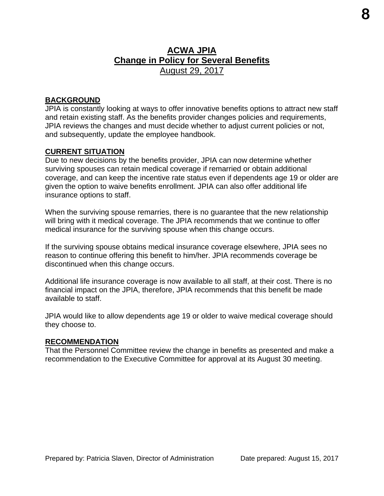# **ACWA JPIA Change in Policy for Several Benefits**  August 29, 2017

#### **BACKGROUND**

JPIA is constantly looking at ways to offer innovative benefits options to attract new staff and retain existing staff. As the benefits provider changes policies and requirements, JPIA reviews the changes and must decide whether to adjust current policies or not, and subsequently, update the employee handbook.

#### **CURRENT SITUATION**

Due to new decisions by the benefits provider, JPIA can now determine whether surviving spouses can retain medical coverage if remarried or obtain additional coverage, and can keep the incentive rate status even if dependents age 19 or older are given the option to waive benefits enrollment. JPIA can also offer additional life insurance options to staff.

When the surviving spouse remarries, there is no guarantee that the new relationship will bring with it medical coverage. The JPIA recommends that we continue to offer medical insurance for the surviving spouse when this change occurs.

If the surviving spouse obtains medical insurance coverage elsewhere, JPIA sees no reason to continue offering this benefit to him/her. JPIA recommends coverage be discontinued when this change occurs.

Additional life insurance coverage is now available to all staff, at their cost. There is no financial impact on the JPIA, therefore, JPIA recommends that this benefit be made available to staff.

JPIA would like to allow dependents age 19 or older to waive medical coverage should they choose to.

#### **RECOMMENDATION**

That the Personnel Committee review the change in benefits as presented and make a recommendation to the Executive Committee for approval at its August 30 meeting.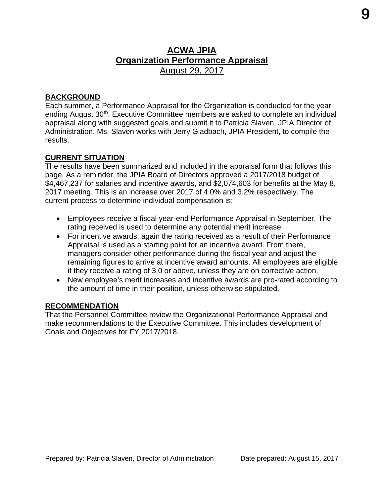# **ACWA JPIA Organization Performance Appraisal**  August 29, 2017

#### **BACKGROUND**

Each summer, a Performance Appraisal for the Organization is conducted for the year ending August 30<sup>th</sup>. Executive Committee members are asked to complete an individual appraisal along with suggested goals and submit it to Patricia Slaven, JPIA Director of Administration. Ms. Slaven works with Jerry Gladbach, JPIA President, to compile the results.

#### **CURRENT SITUATION**

The results have been summarized and included in the appraisal form that follows this page. As a reminder, the JPIA Board of Directors approved a 2017/2018 budget of \$4,467,237 for salaries and incentive awards, and \$2,074,603 for benefits at the May 8, 2017 meeting. This is an increase over 2017 of 4.0% and 3.2% respectively. The current process to determine individual compensation is:

- Employees receive a fiscal year-end Performance Appraisal in September. The rating received is used to determine any potential merit increase.
- For incentive awards, again the rating received as a result of their Performance Appraisal is used as a starting point for an incentive award. From there, managers consider other performance during the fiscal year and adjust the remaining figures to arrive at incentive award amounts. All employees are eligible if they receive a rating of 3.0 or above, unless they are on corrective action.
- New employee's merit increases and incentive awards are pro-rated according to the amount of time in their position, unless otherwise stipulated.

#### **RECOMMENDATION**

That the Personnel Committee review the Organizational Performance Appraisal and make recommendations to the Executive Committee. This includes development of Goals and Objectives for FY 2017/2018.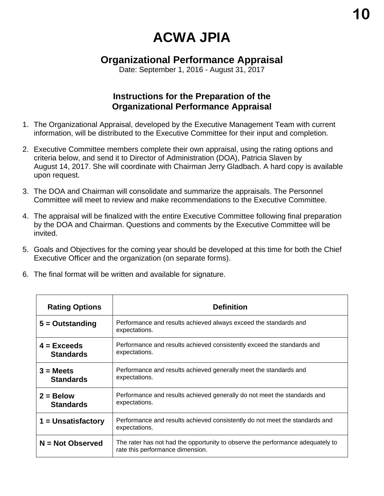# **ACWA JPIA**

# **Organizational Performance Appraisal**

Date: September 1, 2016 - August 31, 2017

## **Instructions for the Preparation of the Organizational Performance Appraisal**

- 1. The Organizational Appraisal, developed by the Executive Management Team with current information, will be distributed to the Executive Committee for their input and completion.
- 2. Executive Committee members complete their own appraisal, using the rating options and criteria below, and send it to Director of Administration (DOA), Patricia Slaven by August 14, 2017. She will coordinate with Chairman Jerry Gladbach. A hard copy is available upon request.
- 3. The DOA and Chairman will consolidate and summarize the appraisals. The Personnel Committee will meet to review and make recommendations to the Executive Committee.
- 4. The appraisal will be finalized with the entire Executive Committee following final preparation by the DOA and Chairman. Questions and comments by the Executive Committee will be invited.
- 5. Goals and Objectives for the coming year should be developed at this time for both the Chief Executive Officer and the organization (on separate forms).
- 6. The final format will be written and available for signature.

| <b>Rating Options</b>             | <b>Definition</b>                                                                                                  |  |  |  |  |  |  |
|-----------------------------------|--------------------------------------------------------------------------------------------------------------------|--|--|--|--|--|--|
| $5 =$ Outstanding                 | Performance and results achieved always exceed the standards and<br>expectations.                                  |  |  |  |  |  |  |
| $4 = Exceeds$<br><b>Standards</b> | Performance and results achieved consistently exceed the standards and<br>expectations.                            |  |  |  |  |  |  |
| $3 = Meets$<br><b>Standards</b>   | Performance and results achieved generally meet the standards and<br>expectations.                                 |  |  |  |  |  |  |
| $2 = Below$<br><b>Standards</b>   | Performance and results achieved generally do not meet the standards and<br>expectations.                          |  |  |  |  |  |  |
| $1 =$ Unsatisfactory              | Performance and results achieved consistently do not meet the standards and<br>expectations.                       |  |  |  |  |  |  |
| $N = Not Observed$                | The rater has not had the opportunity to observe the performance adequately to<br>rate this performance dimension. |  |  |  |  |  |  |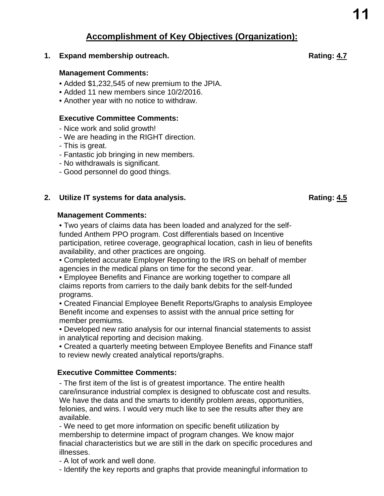# **Accomplishment of Key Objectives (Organization):**

**1. Expand membership outreach. Rating: 4.7** 

#### **Management Comments:**

- Added \$1,232,545 of new premium to the JPIA.
- Added 11 new members since 10/2/2016.
- Another year with no notice to withdraw.

#### **Executive Committee Comments:**

- Nice work and solid growth!
- We are heading in the RIGHT direction.
- This is great.
- Fantastic job bringing in new members.
- No withdrawals is significant.
- Good personnel do good things.

#### **2. Utilize IT systems for data analysis.** And the same state of the Rating: 4.5 **Rating: 4.5**

#### **Management Comments:**

• Two years of claims data has been loaded and analyzed for the selffunded Anthem PPO program. Cost differentials based on Incentive participation, retiree coverage, geographical location, cash in lieu of benefits availability, and other practices are ongoing.

• Completed accurate Employer Reporting to the IRS on behalf of member agencies in the medical plans on time for the second year.

• Employee Benefits and Finance are working together to compare all claims reports from carriers to the daily bank debits for the self-funded programs.

• Created Financial Employee Benefit Reports/Graphs to analysis Employee Benefit income and expenses to assist with the annual price setting for member premiums.

• Developed new ratio analysis for our internal financial statements to assist in analytical reporting and decision making.

• Created a quarterly meeting between Employee Benefits and Finance staff to review newly created analytical reports/graphs.

#### **Executive Committee Comments:**

- The first item of the list is of greatest importance. The entire health care/insurance industrial complex is designed to obfuscate cost and results. We have the data and the smarts to identify problem areas, opportunities, felonies, and wins. I would very much like to see the results after they are available.

- We need to get more information on specific benefit utilization by membership to determine impact of program changes. We know major finacial characteristics but we are still in the dark on specific procedures and illnesses.

- A lot of work and well done.
- Identify the key reports and graphs that provide meaningful information to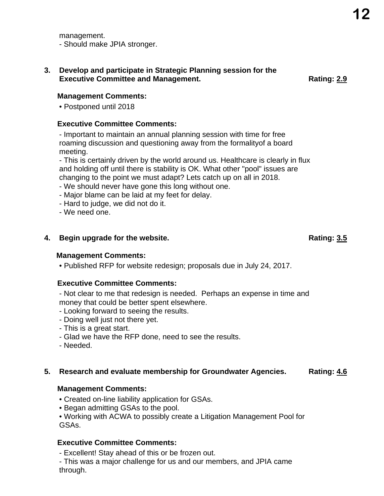management. - Should make JPIA stronger.

#### **3. Develop and participate in Strategic Planning session for the Executive Committee and Management.** The control of the Rating: 2.9

**Management Comments:** 

• Postponed until 2018

#### **Executive Committee Comments:**

- Important to maintain an annual planning session with time for free roaming discussion and questioning away from the formalityof a board meeting.

- This is certainly driven by the world around us. Healthcare is clearly in flux and holding off until there is stability is OK. What other "pool" issues are changing to the point we must adapt? Lets catch up on all in 2018.

- We should never have gone this long without one.
- Major blame can be laid at my feet for delay.
- Hard to judge, we did not do it.
- We need one.

#### **4. Begin upgrade for the website. Rating: 3.5**

#### **Management Comments:**

• Published RFP for website redesign; proposals due in July 24, 2017.

#### **Executive Committee Comments:**

- Not clear to me that redesign is needed. Perhaps an expense in time and money that could be better spent elsewhere.

- Looking forward to seeing the results.
- Doing well just not there yet.
- This is a great start.
- Glad we have the RFP done, need to see the results.
- Needed.

#### **5. Research and evaluate membership for Groundwater Agencies. Rating: 4.6**

#### **Management Comments:**

- Created on-line liability application for GSAs.
- Began admitting GSAs to the pool.

• Working with ACWA to possibly create a Litigation Management Pool for GSAs.

#### **Executive Committee Comments:**

- Excellent! Stay ahead of this or be frozen out.

- This was a major challenge for us and our members, and JPIA came through.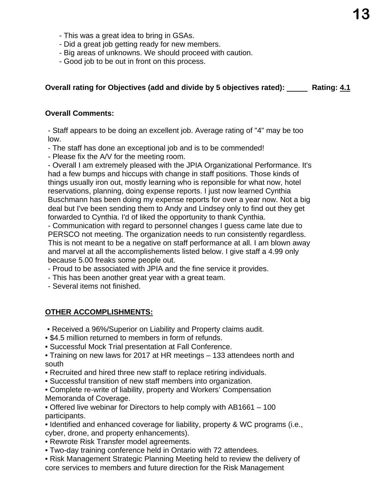- This was a great idea to bring in GSAs.
- Did a great job getting ready for new members.
- Big areas of unknowns. We should proceed with caution.
- Good job to be out in front on this process.

#### **Overall rating for Objectives (add and divide by 5 objectives rated): Mating: 4.1 <b>Property** Rating: 4.1

#### **Overall Comments:**

- Staff appears to be doing an excellent job. Average rating of "4" may be too low.

- The staff has done an exceptional job and is to be commended!

- Please fix the A/V for the meeting room.

- Overall I am extremely pleased with the JPIA Organizational Performance. It's had a few bumps and hiccups with change in staff positions. Those kinds of things usually iron out, mostly learning who is reponsible for what now, hotel reservations, planning, doing expense reports. I just now learned Cynthia Buschmann has been doing my expense reports for over a year now. Not a big deal but I've been sending them to Andy and Lindsey only to find out they get forwarded to Cynthia. I'd of liked the opportunity to thank Cynthia.

- Communication with regard to personnel changes I guess came late due to PERSCO not meeting. The organization needs to run consistently regardless. This is not meant to be a negative on staff performance at all. I am blown away and marvel at all the accomplishements listed below. I give staff a 4.99 only because 5.00 freaks some people out.

- Proud to be associated with JPIA and the fine service it provides.
- This has been another great year with a great team.
- Several items not finished.

#### **OTHER ACCOMPLISHMENTS:**

- Received a 96%/Superior on Liability and Property claims audit.
- \$4.5 million returned to members in form of refunds.
- Successful Mock Trial presentation at Fall Conference.
- Training on new laws for 2017 at HR meetings 133 attendees north and south
- Recruited and hired three new staff to replace retiring individuals.
- Successful transition of new staff members into organization.
- Complete re-write of liability, property and Workers' Compensation Memoranda of Coverage.
- Offered live webinar for Directors to help comply with AB1661 100 participants.
- Identified and enhanced coverage for liability, property & WC programs (i.e., cyber, drone, and property enhancements).
- Rewrote Risk Transfer model agreements.
- Two-day training conference held in Ontario with 72 attendees.
- Risk Management Strategic Planning Meeting held to review the delivery of core services to members and future direction for the Risk Management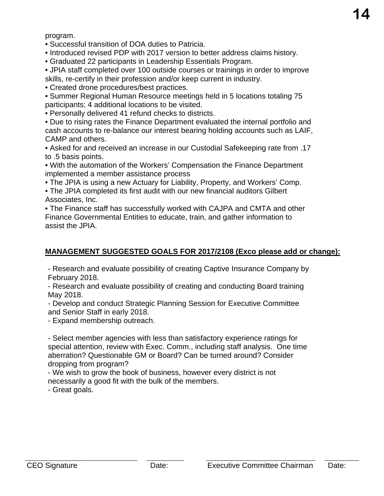program.

• Successful transition of DOA duties to Patricia.

• Introduced revised PDP with 2017 version to better address claims history.

• Graduated 22 participants in Leadership Essentials Program.

• JPIA staff completed over 100 outside courses or trainings in order to improve skills, re-certify in their profession and/or keep current in industry.

• Created drone procedures/best practices.

• Summer Regional Human Resource meetings held in 5 locations totaling 75 participants; 4 additional locations to be visited.

• Personally delivered 41 refund checks to districts.

• Due to rising rates the Finance Department evaluated the internal portfolio and cash accounts to re-balance our interest bearing holding accounts such as LAIF, CAMP and others.

• Asked for and received an increase in our Custodial Safekeeping rate from .17 to .5 basis points.

• With the automation of the Workers' Compensation the Finance Department implemented a member assistance process

• The JPIA is using a new Actuary for Liability, Property, and Workers' Comp.

• The JPIA completed its first audit with our new financial auditors Gilbert Associates, Inc.

• The Finance staff has successfully worked with CAJPA and CMTA and other Finance Governmental Entities to educate, train, and gather information to assist the JPIA.

### **MANAGEMENT SUGGESTED GOALS FOR 2017/2108 (Exco please add or change):**

- Research and evaluate possibility of creating Captive Insurance Company by February 2018.

- Research and evaluate possibility of creating and conducting Board training May 2018.

- Develop and conduct Strategic Planning Session for Executive Committee and Senior Staff in early 2018.

- Expand membership outreach.

- Select member agencies with less than satisfactory experience ratings for special attention, review with Exec. Comm., including staff analysis. One time aberration? Questionable GM or Board? Can be turned around? Consider dropping from program?

- We wish to grow the book of business, however every district is not necessarily a good fit with the bulk of the members.

- Great goals.

\_\_\_\_\_\_\_\_\_\_\_\_\_\_\_\_\_\_\_\_\_\_\_\_\_\_\_\_\_\_\_\_\_\_\_\_ \_\_\_\_\_\_\_\_\_\_\_\_ \_\_\_\_\_\_\_\_\_\_\_\_\_\_\_\_\_\_\_\_\_\_\_\_\_\_\_\_\_\_\_\_\_\_\_ \_\_\_\_\_\_\_\_\_\_\_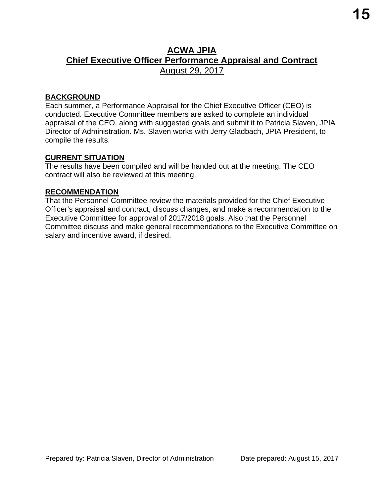# **ACWA JPIA Chief Executive Officer Performance Appraisal and Contract**  August 29, 2017

#### **BACKGROUND**

Each summer, a Performance Appraisal for the Chief Executive Officer (CEO) is conducted. Executive Committee members are asked to complete an individual appraisal of the CEO, along with suggested goals and submit it to Patricia Slaven, JPIA Director of Administration. Ms. Slaven works with Jerry Gladbach, JPIA President, to compile the results.

#### **CURRENT SITUATION**

The results have been compiled and will be handed out at the meeting. The CEO contract will also be reviewed at this meeting.

#### **RECOMMENDATION**

That the Personnel Committee review the materials provided for the Chief Executive Officer's appraisal and contract, discuss changes, and make a recommendation to the Executive Committee for approval of 2017/2018 goals. Also that the Personnel Committee discuss and make general recommendations to the Executive Committee on salary and incentive award, if desired.